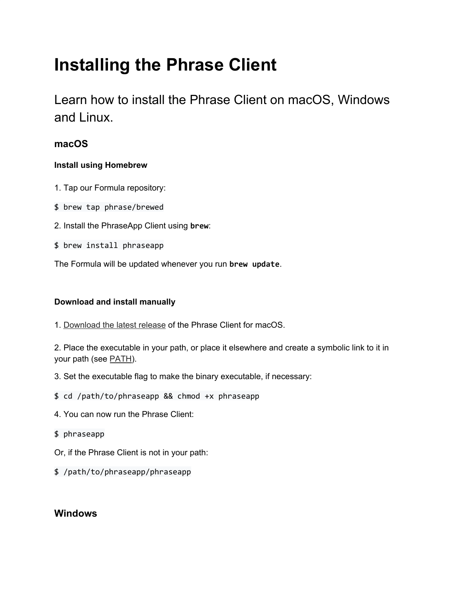# **Installing the Phrase Client**

Learn how to install the Phrase Client on macOS, Windows and Linux.

## **macOS**

#### **Install using Homebrew**

- 1. Tap our Formula repository:
- \$ brew tap phrase/brewed
- 2. Install the PhraseApp Client using **brew**:
- \$ brew install phraseapp

The Formula will be updated whenever you run **brew update**.

#### **Download and install manually**

1. [Download](https://phrase.com/cli/) the latest release of the Phrase Client for macOS.

2. Place the executable in your path, or place it elsewhere and create a symbolic link to it in your path (see [PATH\)](https://en.wikipedia.org/wiki/PATH_(variable)).

- 3. Set the executable flag to make the binary executable, if necessary:
- \$ cd /path/to/phraseapp && chmod +x phraseapp
- 4. You can now run the Phrase Client:
- \$ phraseapp
- Or, if the Phrase Client is not in your path:
- \$ /path/to/phraseapp/phraseapp

### **Windows**